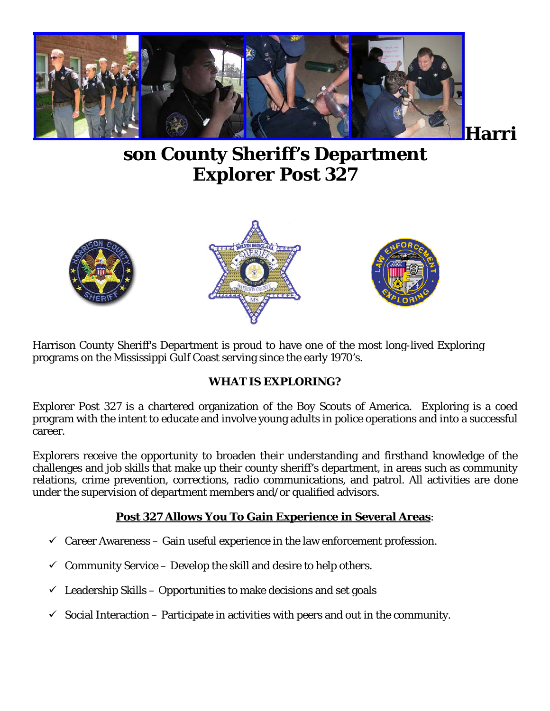

**son County Sheriff's Department Explorer Post 327** 



Harrison County Sheriff's Department is proud to have one of the most long-lived Exploring programs on the Mississippi Gulf Coast serving since the early 1970's.

### **WHAT IS EXPLORING?**

Explorer Post 327 is a chartered organization of the Boy Scouts of America. Exploring is a coed program with the intent to educate and involve young adults in police operations and into a successful career.

Explorers receive the opportunity to broaden their understanding and firsthand knowledge of the challenges and job skills that make up their county sheriff's department, in areas such as community relations, crime prevention, corrections, radio communications, and patrol. All activities are done under the supervision of department members and/or qualified advisors.

### **Post 327 Allows You To Gain Experience in Several Areas**:

- $\checkmark$  Career Awareness Gain useful experience in the law enforcement profession.
- $\checkmark$  Community Service Develop the skill and desire to help others.
- $\checkmark$  Leadership Skills Opportunities to make decisions and set goals
- $\checkmark$  Social Interaction Participate in activities with peers and out in the community.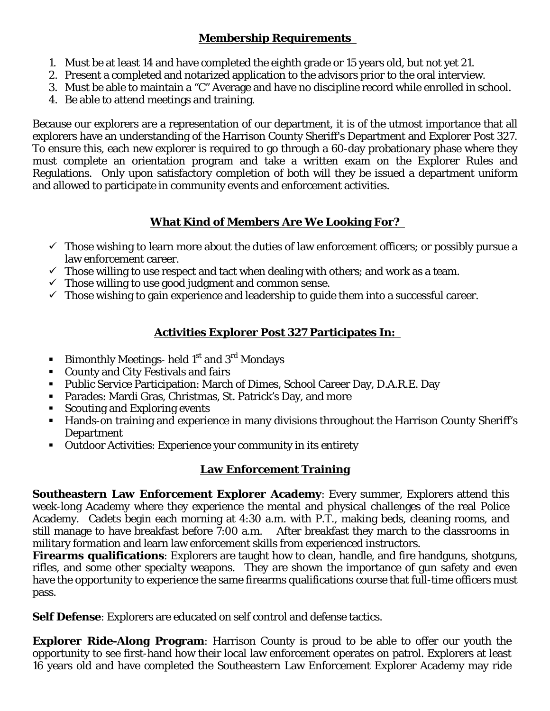### **Membership Requirements**

- 1. Must be at least 14 and have completed the eighth grade or 15 years old, but not yet 21.
- 2. Present a completed and notarized application to the advisors prior to the oral interview.
- 3. Must be able to maintain a "C" Average and have no discipline record while enrolled in school.
- 4. Be able to attend meetings and training.

Because our explorers are a representation of our department, it is of the utmost importance that all explorers have an understanding of the Harrison County Sheriff's Department and Explorer Post 327. To ensure this, each new explorer is required to go through a 60-day probationary phase where they must complete an orientation program and take a written exam on the Explorer Rules and Regulations. Only upon satisfactory completion of both will they be issued a department uniform and allowed to participate in community events and enforcement activities.

## **What Kind of Members Are We Looking For?**

- $\checkmark$  Those wishing to learn more about the duties of law enforcement officers; or possibly pursue a law enforcement career.
- $\checkmark$  Those willing to use respect and tact when dealing with others; and work as a team.
- $\checkmark$  Those willing to use good judgment and common sense.
- $\checkmark$  Those wishing to gain experience and leadership to guide them into a successful career.

## **Activities Explorer Post 327 Participates In:**

- **Bimonthly Meetings- held 1st and 3<sup>rd</sup> Mondays**
- County and City Festivals and fairs
- **Public Service Participation: March of Dimes, School Career Day, D.A.R.E. Day**
- Parades: Mardi Gras, Christmas, St. Patrick's Day, and more
- Scouting and Exploring events
- Hands-on training and experience in many divisions throughout the Harrison County Sheriff's Department
- Outdoor Activities: Experience your community in its entirety

## **Law Enforcement Training**

**Southeastern Law Enforcement Explorer Academy**: Every summer, Explorers attend this week-long Academy where they experience the mental and physical challenges of the real Police Academy. Cadets begin each morning at 4:30 a.m. with P.T., making beds, cleaning rooms, and still manage to have breakfast before 7:00 a.m. After breakfast they march to the classrooms in military formation and learn law enforcement skills from experienced instructors.

**Firearms qualifications**: Explorers are taught how to clean, handle, and fire handguns, shotguns, rifles, and some other specialty weapons. They are shown the importance of gun safety and even have the opportunity to experience the same firearms qualifications course that full-time officers must pass.

**Self Defense**: Explorers are educated on self control and defense tactics.

**Explorer Ride-Along Program**: Harrison County is proud to be able to offer our youth the opportunity to see first-hand how their local law enforcement operates on patrol. Explorers at least 16 years old and have completed the Southeastern Law Enforcement Explorer Academy may ride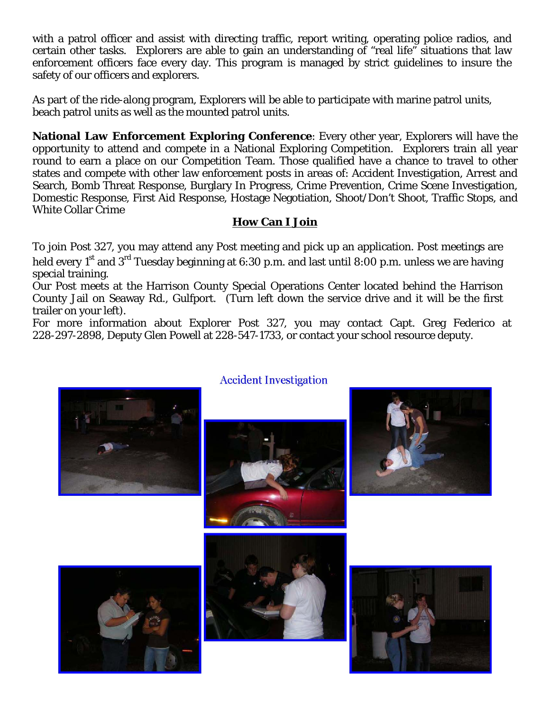with a patrol officer and assist with directing traffic, report writing, operating police radios, and certain other tasks. Explorers are able to gain an understanding of "real life" situations that law enforcement officers face every day. This program is managed by strict guidelines to insure the safety of our officers and explorers.

As part of the ride-along program, Explorers will be able to participate with marine patrol units, beach patrol units as well as the mounted patrol units.

**National Law Enforcement Exploring Conference**: Every other year, Explorers will have the opportunity to attend and compete in a National Exploring Competition. Explorers train all year round to earn a place on our Competition Team. Those qualified have a chance to travel to other states and compete with other law enforcement posts in areas of: Accident Investigation, Arrest and Search, Bomb Threat Response, Burglary In Progress, Crime Prevention, Crime Scene Investigation, Domestic Response, First Aid Response, Hostage Negotiation, Shoot/Don't Shoot, Traffic Stops, and White Collar Crime

### **How Can I Join**

To join Post 327, you may attend any Post meeting and pick up an application. Post meetings are held every 1<sup>st</sup> and 3<sup>rd</sup> Tuesday beginning at 6:30 p.m. and last until 8:00 p.m. unless we are having special training.

Our Post meets at the Harrison County Special Operations Center located behind the Harrison County Jail on Seaway Rd., Gulfport. (Turn left down the service drive and it will be the first trailer on your left).

For more information about Explorer Post 327, you may contact Capt. Greg Federico at 228-297-2898, Deputy Glen Powell at 228-547-1733, or contact your school resource deputy.



### **Accident Investigation**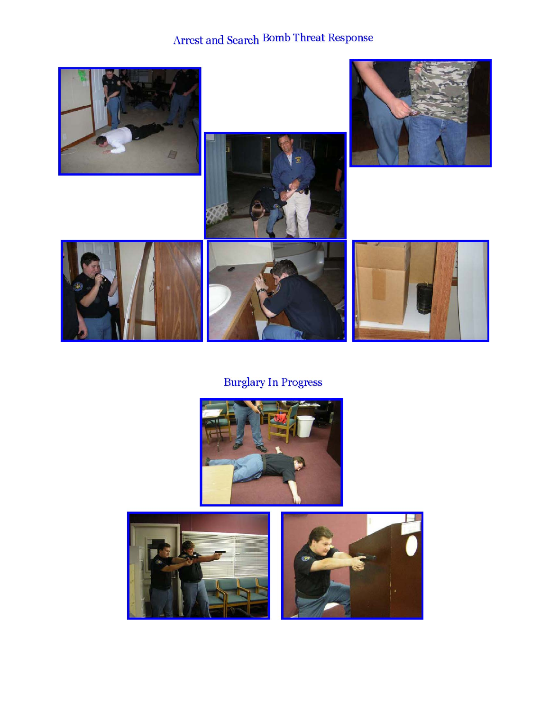# Arrest and Search Bomb Threat Response



# **Burglary In Progress**



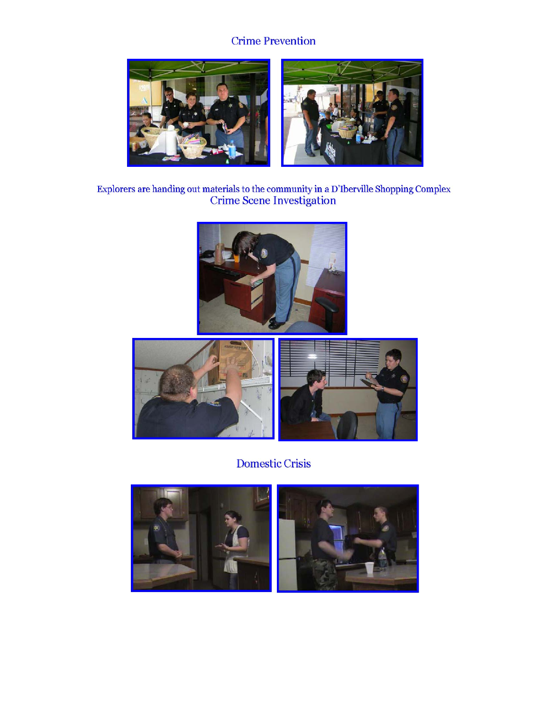## **Crime Prevention**



Explorers are handing out materials to the community in a D'Iberville Shopping Complex Crime Scene Investigation





**Domestic Crisis** 

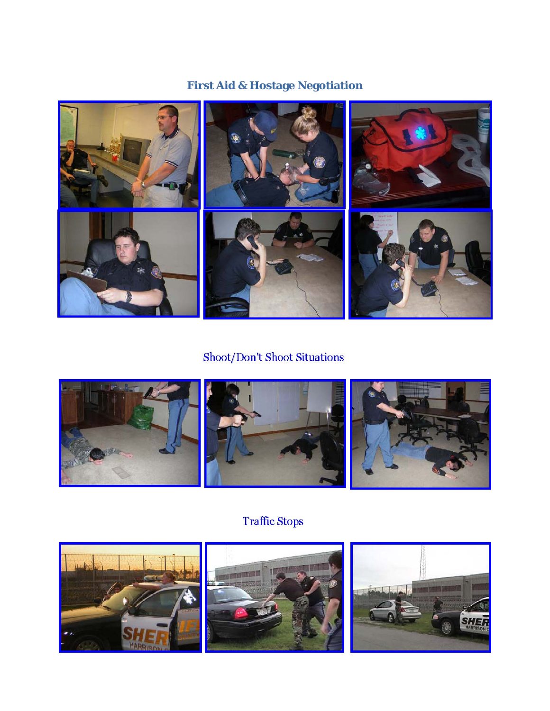# **First Aid & Hostage Negotiation**



# Shoot/Don't Shoot Situations



# **Traffic Stops**